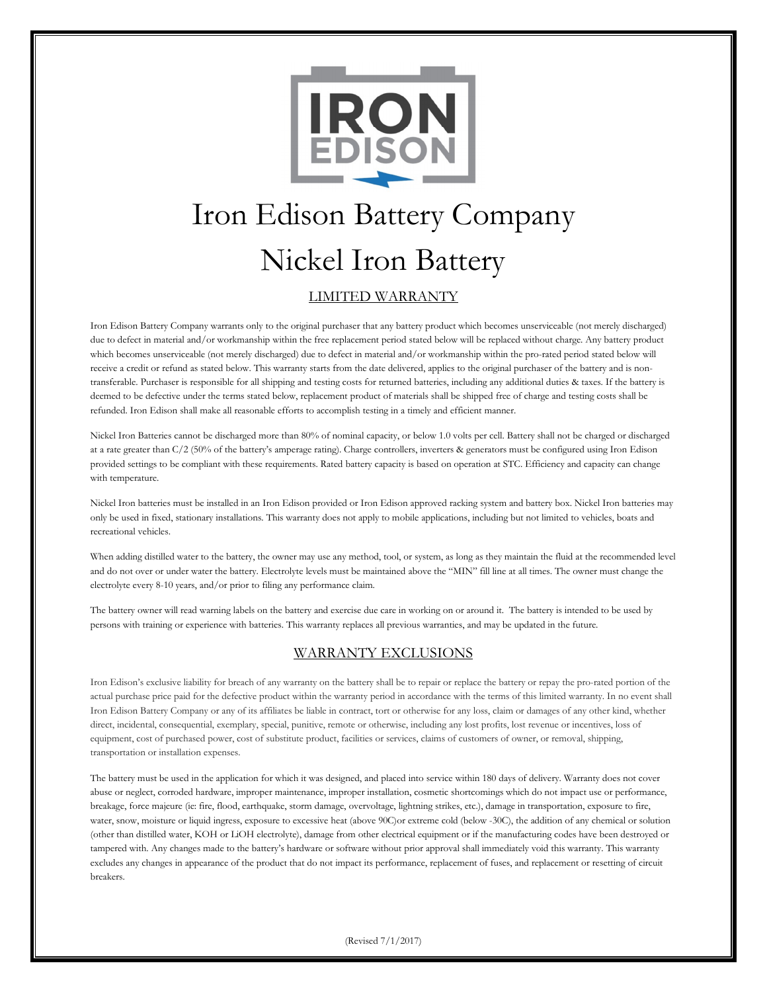

# Iron Edison Battery Company Nickel Iron Battery

# LIMITED WARRANTY

Iron Edison Battery Company warrants only to the original purchaser that any battery product which becomes unserviceable (not merely discharged) due to defect in material and/or workmanship within the free replacement period stated below will be replaced without charge. Any battery product which becomes unserviceable (not merely discharged) due to defect in material and/or workmanship within the pro-rated period stated below will receive a credit or refund as stated below. This warranty starts from the date delivered, applies to the original purchaser of the battery and is nontransferable. Purchaser is responsible for all shipping and testing costs for returned batteries, including any additional duties & taxes. If the battery is deemed to be defective under the terms stated below, replacement product of materials shall be shipped free of charge and testing costs shall be refunded. Iron Edison shall make all reasonable efforts to accomplish testing in a timely and efficient manner.

Nickel Iron Batteries cannot be discharged more than 80% of nominal capacity, or below 1.0 volts per cell. Battery shall not be charged or discharged at a rate greater than C/2 (50% of the battery's amperage rating). Charge controllers, inverters & generators must be configured using Iron Edison provided settings to be compliant with these requirements. Rated battery capacity is based on operation at STC. Efficiency and capacity can change with temperature.

Nickel Iron batteries must be installed in an Iron Edison provided or Iron Edison approved racking system and battery box. Nickel Iron batteries may only be used in fixed, stationary installations. This warranty does not apply to mobile applications, including but not limited to vehicles, boats and recreational vehicles.

When adding distilled water to the battery, the owner may use any method, tool, or system, as long as they maintain the fluid at the recommended level and do not over or under water the battery. Electrolyte levels must be maintained above the "MIN" fill line at all times. The owner must change the electrolyte every 8-10 years, and/or prior to filing any performance claim.

The battery owner will read warning labels on the battery and exercise due care in working on or around it. The battery is intended to be used by persons with training or experience with batteries. This warranty replaces all previous warranties, and may be updated in the future.

# WARRANTY EXCLUSIONS

Iron Edison's exclusive liability for breach of any warranty on the battery shall be to repair or replace the battery or repay the pro-rated portion of the actual purchase price paid for the defective product within the warranty period in accordance with the terms of this limited warranty. In no event shall Iron Edison Battery Company or any of its affiliates be liable in contract, tort or otherwise for any loss, claim or damages of any other kind, whether direct, incidental, consequential, exemplary, special, punitive, remote or otherwise, including any lost profits, lost revenue or incentives, loss of equipment, cost of purchased power, cost of substitute product, facilities or services, claims of customers of owner, or removal, shipping, transportation or installation expenses.

The battery must be used in the application for which it was designed, and placed into service within 180 days of delivery. Warranty does not cover abuse or neglect, corroded hardware, improper maintenance, improper installation, cosmetic shortcomings which do not impact use or performance, breakage, force majeure (ie: fire, flood, earthquake, storm damage, overvoltage, lightning strikes, etc.), damage in transportation, exposure to fire, water, snow, moisture or liquid ingress, exposure to excessive heat (above 90C)or extreme cold (below -30C), the addition of any chemical or solution (other than distilled water, KOH or LiOH electrolyte), damage from other electrical equipment or if the manufacturing codes have been destroyed or tampered with. Any changes made to the battery's hardware or software without prior approval shall immediately void this warranty. This warranty excludes any changes in appearance of the product that do not impact its performance, replacement of fuses, and replacement or resetting of circuit breakers.